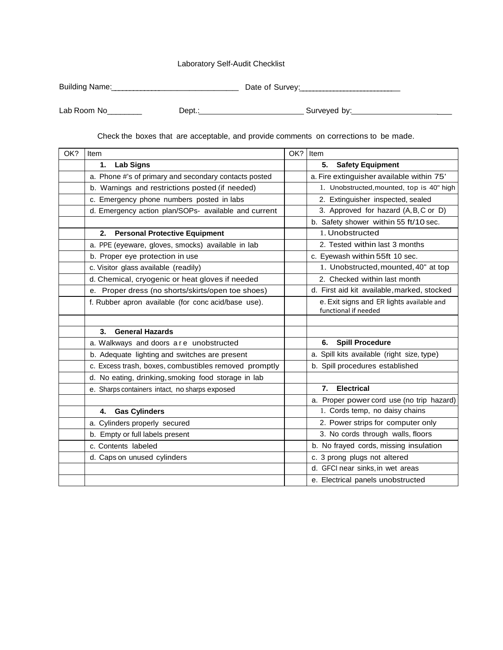## Laboratory Self-Audit Checklist

| Building Name: | Date of Survey: |
|----------------|-----------------|

Lab Room No\_\_\_\_\_\_\_\_ Dept.: Surveyed by: \_

Check the boxes that are acceptable, and provide comments on corrections to be made.

| OK? | Item                                                  | OK? | Item                                        |
|-----|-------------------------------------------------------|-----|---------------------------------------------|
|     | <b>Lab Signs</b><br>1.                                |     | <b>Safety Equipment</b><br>5.               |
|     | a. Phone #'s of primary and secondary contacts posted |     | a. Fire extinguisher available within 75'   |
|     | b. Warnings and restrictions posted (if needed)       |     | 1. Unobstructed, mounted, top is 40" high   |
|     | c. Emergency phone numbers posted in labs             |     | 2. Extinguisher inspected, sealed           |
|     | d. Emergency action plan/SOPs- available and current  |     | 3. Approved for hazard (A, B, C or D)       |
|     |                                                       |     | b. Safety shower within 55 ft/10 sec.       |
|     | <b>Personal Protective Equipment</b><br>2.            |     | 1. Unobstructed                             |
|     | a. PPE (eyeware, gloves, smocks) available in lab     |     | 2. Tested within last 3 months              |
|     | b. Proper eye protection in use                       |     | c. Eyewash within 55ft 10 sec.              |
|     | c. Visitor glass available (readily)                  |     | 1. Unobstructed, mounted, 40" at top        |
|     | d. Chemical, cryogenic or heat gloves if needed       |     | 2. Checked within last month                |
|     | e. Proper dress (no shorts/skirts/open toe shoes)     |     | d. First aid kit available, marked, stocked |
|     | f. Rubber apron available (for conc acid/base use).   |     | e. Exit signs and ER lights available and   |
|     |                                                       |     | functional if needed                        |
|     | <b>General Hazards</b><br>3.                          |     |                                             |
|     |                                                       |     |                                             |
|     | a. Walkways and doors are unobstructed                |     | <b>Spill Procedure</b><br>6.                |
|     | b. Adequate lighting and switches are present         |     | a. Spill kits available (right size, type)  |
|     | c. Excess trash, boxes, combustibles removed promptly |     | b. Spill procedures established             |
|     | d. No eating, drinking, smoking food storage in lab   |     |                                             |
|     | e. Sharps containers intact, no sharps exposed        |     | <b>Electrical</b><br>7.                     |
|     |                                                       |     | a. Proper power cord use (no trip hazard)   |
|     | <b>Gas Cylinders</b><br>4.                            |     | 1. Cords temp, no daisy chains              |
|     | a. Cylinders properly secured                         |     | 2. Power strips for computer only           |
|     | b. Empty or full labels present                       |     | 3. No cords through walls, floors           |
|     | c. Contents labeled                                   |     | b. No frayed cords, missing insulation      |
|     | d. Caps on unused cylinders                           |     | c. 3 prong plugs not altered                |
|     |                                                       |     | d. GFCI near sinks, in wet areas            |
|     |                                                       |     | e. Electrical panels unobstructed           |